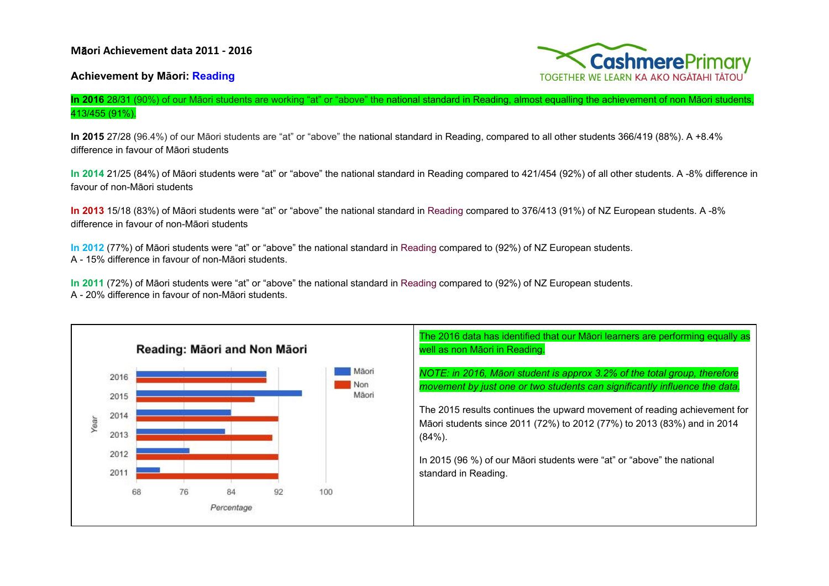

## **Achievement by Māori: Reading**

## **In 2016** 28/31 (90%) of our Māori students are working "at" or "above" the national standard in Reading, almost equalling the achievement of non Māori students, 413/455 (91%).

**In 2015** 27/28 (96.4%) of our Māori students are "at" or "above" the national standard in Reading, compared to all other students 366/419 (88%). A +8.4% difference in favour of Māori students

**In 2014** 21/25 (84%) of Māori students were "at" or "above" the national standard in Reading compared to 421/454 (92%) of all other students. A -8% difference in favour of non-Māori students

**In 2013** 15/18 (83%) of Māori students were "at" or "above" the national standard in Reading compared to 376/413 (91%) of NZ European students. A -8% difference in favour of non-Māori students

**In 2012** (77%) of Māori students were "at" or "above" the national standard in Reading compared to (92%) of NZ European students. A - 15% difference in favour of non-Māori students.

**In 2011** (72%) of Māori students were "at" or "above" the national standard in Reading compared to (92%) of NZ European students. A - 20% difference in favour of non-Māori students.

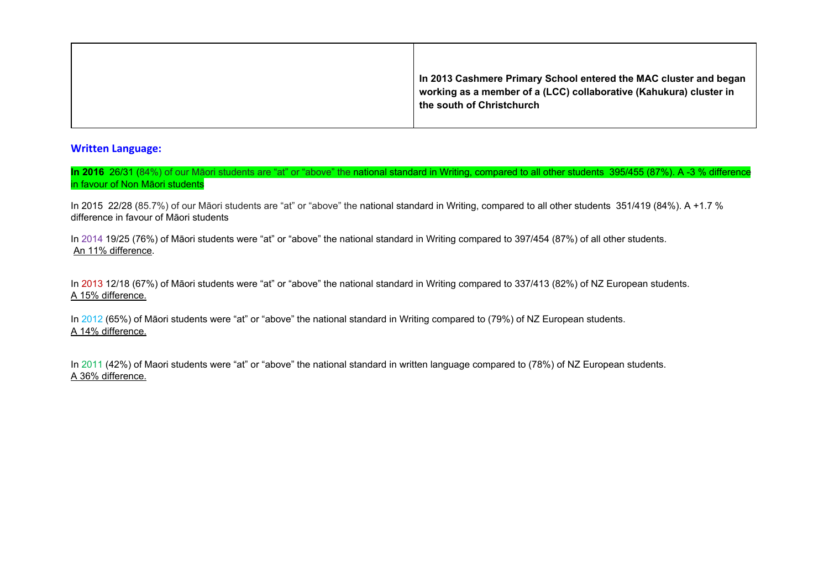| In 2013 Cashmere Primary School entered the MAC cluster and began<br>working as a member of a (LCC) collaborative (Kahukura) cluster in<br>the south of Christchurch |
|----------------------------------------------------------------------------------------------------------------------------------------------------------------------|

## **Written Language:**

In 2016 26/31 (84%) of our Māori students are "at" or "above" the national standard in Writing, compared to all other students 395/455 (87%). A -3 % difference in favour of Non Māori students

In 2015 22/28 (85.7%) of our Māori students are "at" or "above" the national standard in Writing, compared to all other students 351/419 (84%). A +1.7 % difference in favour of Māori students

In 2014 19/25 (76%) of Māori students were "at" or "above" the national standard in Writing compared to 397/454 (87%) of all other students. An 11% difference.

In 2013 12/18 (67%) of Māori students were "at" or "above" the national standard in Writing compared to 337/413 (82%) of NZ European students. A 15% difference.

In 2012 (65%) of Māori students were "at" or "above" the national standard in Writing compared to (79%) of NZ European students. A 14% difference.

In 2011 (42%) of Maori students were "at" or "above" the national standard in written language compared to (78%) of NZ European students. A 36% difference.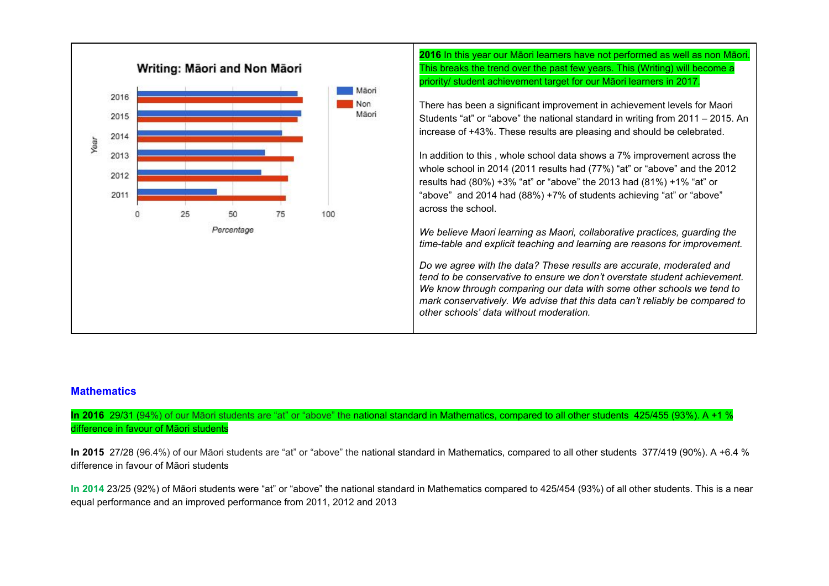

## **Mathematics**

**In 2016** 29/31 (94%) of our Māori students are "at" or "above" the national standard in Mathematics, compared to all other students 425/455 (93%). A +1 % difference in favour of Māori students

**In 2015** 27/28 (96.4%) of our Māori students are "at" or "above" the national standard in Mathematics, compared to all other students 377/419 (90%). A +6.4 % difference in favour of Māori students

**In 2014** 23/25 (92%) of Māori students were "at" or "above" the national standard in Mathematics compared to 425/454 (93%) of all other students. This is a near equal performance and an improved performance from 2011, 2012 and 2013